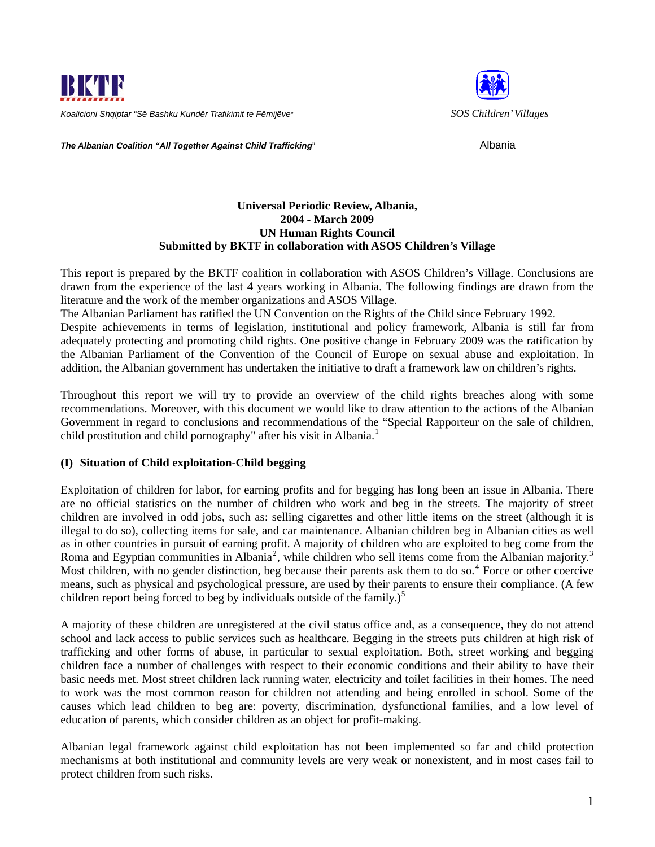



**The Albanian Coalition "All Together Against Child Trafficking"** Albania

# **Universal Periodic Review, Albania, 2004 - March 2009 UN Human Rights Council Submitted by BKTF in collaboration with ASOS Children's Village**

This report is prepared by the BKTF coalition in collaboration with ASOS Children's Village. Conclusions are drawn from the experience of the last 4 years working in Albania. The following findings are drawn from the literature and the work of the member organizations and ASOS Village.

The Albanian Parliament has ratified the UN Convention on the Rights of the Child since February 1992.

Despite achievements in terms of legislation, institutional and policy framework, Albania is still far from adequately protecting and promoting child rights. One positive change in February 2009 was the ratification by the Albanian Parliament of the Convention of the Council of Europe on sexual abuse and exploitation. In addition, the Albanian government has undertaken the initiative to draft a framework law on children's rights.

Throughout this report we will try to provide an overview of the child rights breaches along with some recommendations. Moreover, with this document we would like to draw attention to the actions of the Albanian Government in regard to conclusions and recommendations of the "Special Rapporteur on the sale of children, child prostitution and child pornography" after his visit in Albania.<sup>[1](#page-4-0)</sup>

# **(I) Situation of Child exploitation-Child begging**

Exploitation of children for labor, for earning profits and for begging has long been an issue in Albania. There are no official statistics on the number of children who work and beg in the streets. The majority of street children are involved in odd jobs, such as: selling cigarettes and other little items on the street (although it is illegal to do so), collecting items for sale, and car maintenance. Albanian children beg in Albanian cities as well as in other countries in pursuit of earning profit. A majority of children who are exploited to beg come from the Roma and Egyptian communities in Albania<sup>[2](#page-4-1)</sup>, while children who sell items come from the Albanian majority.<sup>[3](#page-4-1)</sup> Most children, with no gender distinction, beg because their parents ask them to do so. $4$  Force or other coercive means, such as physical and psychological pressure, are used by their parents to ensure their compliance. (A few children report being forced to beg by individuals outside of the family.)<sup>[5](#page-4-1)</sup>

A majority of these children are unregistered at the civil status office and, as a consequence, they do not attend school and lack access to public services such as healthcare. Begging in the streets puts children at high risk of trafficking and other forms of abuse, in particular to sexual exploitation. Both, street working and begging children face a number of challenges with respect to their economic conditions and their ability to have their basic needs met. Most street children lack running water, electricity and toilet facilities in their homes. The need to work was the most common reason for children not attending and being enrolled in school. Some of the causes which lead children to beg are: poverty, discrimination, dysfunctional families, and a low level of education of parents, which consider children as an object for profit-making.

Albanian legal framework against child exploitation has not been implemented so far and child protection mechanisms at both institutional and community levels are very weak or nonexistent, and in most cases fail to protect children from such risks.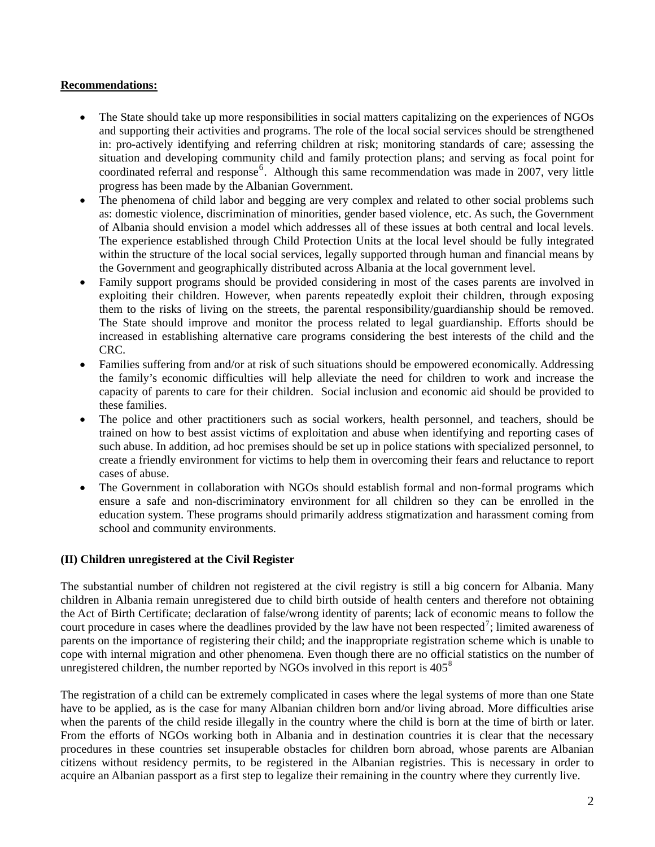### **Recommendations:**

- The State should take up more responsibilities in social matters capitalizing on the experiences of NGOs and supporting their activities and programs. The role of the local social services should be strengthened in: pro-actively identifying and referring children at risk; monitoring standards of care; assessing the situation and developing community child and family protection plans; and serving as focal point for coordinated referral and response<sup>[6](#page-4-1)</sup>. Although this same recommendation was made in 2007, very little progress has been made by the Albanian Government.
- The phenomena of child labor and begging are very complex and related to other social problems such as: domestic violence, discrimination of minorities, gender based violence, etc. As such, the Government of Albania should envision a model which addresses all of these issues at both central and local levels. The experience established through Child Protection Units at the local level should be fully integrated within the structure of the local social services, legally supported through human and financial means by the Government and geographically distributed across Albania at the local government level.
- Family support programs should be provided considering in most of the cases parents are involved in exploiting their children. However, when parents repeatedly exploit their children, through exposing them to the risks of living on the streets, the parental responsibility/guardianship should be removed. The State should improve and monitor the process related to legal guardianship. Efforts should be increased in establishing alternative care programs considering the best interests of the child and the CRC.
- Families suffering from and/or at risk of such situations should be empowered economically. Addressing the family's economic difficulties will help alleviate the need for children to work and increase the capacity of parents to care for their children. Social inclusion and economic aid should be provided to these families.
- The police and other practitioners such as social workers, health personnel, and teachers, should be trained on how to best assist victims of exploitation and abuse when identifying and reporting cases of such abuse. In addition, ad hoc premises should be set up in police stations with specialized personnel, to create a friendly environment for victims to help them in overcoming their fears and reluctance to report cases of abuse.
- The Government in collaboration with NGOs should establish formal and non-formal programs which ensure a safe and non-discriminatory environment for all children so they can be enrolled in the education system. These programs should primarily address stigmatization and harassment coming from school and community environments.

# **(II) Children unregistered at the Civil Register**

The substantial number of children not registered at the civil registry is still a big concern for Albania. Many children in Albania remain unregistered due to child birth outside of health centers and therefore not obtaining the Act of Birth Certificate; declaration of false/wrong identity of parents; lack of economic means to follow the court procedure in cases where the deadlines provided by the law have not been respected<sup>[7](#page-4-1)</sup>; limited awareness of parents on the importance of registering their child; and the inappropriate registration scheme which is unable to cope with internal migration and other phenomena. Even though there are no official statistics on the number of unregistered children, the number reported by NGOs involved in this report is  $405^8$  $405^8$ 

The registration of a child can be extremely complicated in cases where the legal systems of more than one State have to be applied, as is the case for many Albanian children born and/or living abroad. More difficulties arise when the parents of the child reside illegally in the country where the child is born at the time of birth or later. From the efforts of NGOs working both in Albania and in destination countries it is clear that the necessary procedures in these countries set insuperable obstacles for children born abroad, whose parents are Albanian citizens without residency permits, to be registered in the Albanian registries. This is necessary in order to acquire an Albanian passport as a first step to legalize their remaining in the country where they currently live.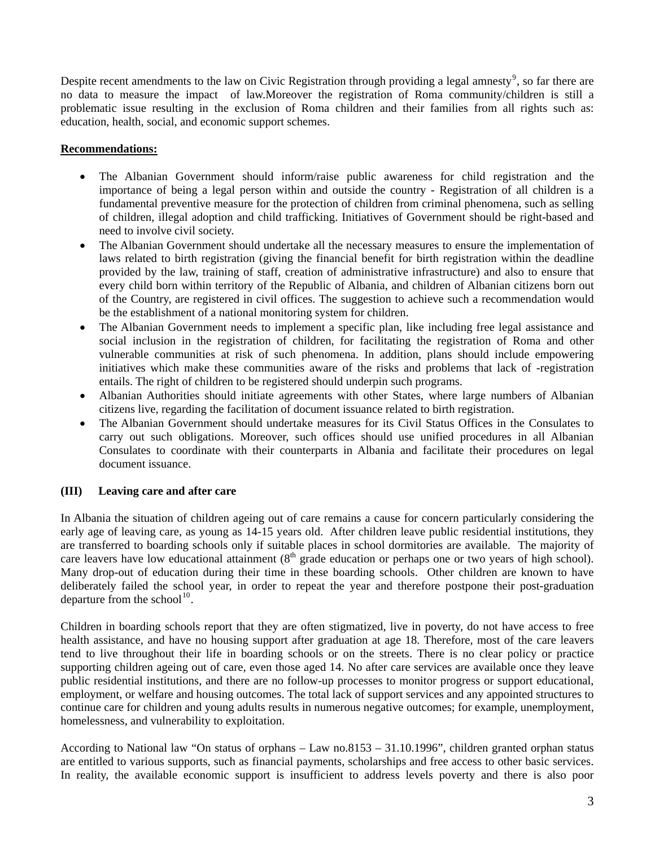Despite recent amendments to the law on Civic Registration through providing a legal amnesty<sup>[9](#page-4-1)</sup>, so far there are no data to measure the impact of law.Moreover the registration of Roma community/children is still a problematic issue resulting in the exclusion of Roma children and their families from all rights such as: education, health, social, and economic support schemes.

### **Recommendations:**

- The Albanian Government should inform/raise public awareness for child registration and the importance of being a legal person within and outside the country - Registration of all children is a fundamental preventive measure for the protection of children from criminal phenomena, such as selling of children, illegal adoption and child trafficking. Initiatives of Government should be right-based and need to involve civil society.
- The Albanian Government should undertake all the necessary measures to ensure the implementation of laws related to birth registration (giving the financial benefit for birth registration within the deadline provided by the law, training of staff, creation of administrative infrastructure) and also to ensure that every child born within territory of the Republic of Albania, and children of Albanian citizens born out of the Country, are registered in civil offices. The suggestion to achieve such a recommendation would be the establishment of a national monitoring system for children.
- The Albanian Government needs to implement a specific plan, like including free legal assistance and social inclusion in the registration of children, for facilitating the registration of Roma and other vulnerable communities at risk of such phenomena. In addition, plans should include empowering initiatives which make these communities aware of the risks and problems that lack of -registration entails. The right of children to be registered should underpin such programs.
- Albanian Authorities should initiate agreements with other States, where large numbers of Albanian citizens live, regarding the facilitation of document issuance related to birth registration.
- The Albanian Government should undertake measures for its Civil Status Offices in the Consulates to carry out such obligations. Moreover, such offices should use unified procedures in all Albanian Consulates to coordinate with their counterparts in Albania and facilitate their procedures on legal document issuance.

# **(III) Leaving care and after care**

In Albania the situation of children ageing out of care remains a cause for concern particularly considering the early age of leaving care, as young as 14-15 years old. After children leave public residential institutions, they are transferred to boarding schools only if suitable places in school dormitories are available. The majority of care leavers have low educational attainment (8<sup>th</sup> grade education or perhaps one or two years of high school). Many drop-out of education during their time in these boarding schools. Other children are known to have deliberately failed the school year, in order to repeat the year and therefore postpone their post-graduation departure from the school<sup>[10](#page-4-1)</sup>.

Children in boarding schools report that they are often stigmatized, live in poverty, do not have access to free health assistance, and have no housing support after graduation at age 18. Therefore, most of the care leavers tend to live throughout their life in boarding schools or on the streets. There is no clear policy or practice supporting children ageing out of care, even those aged 14. No after care services are available once they leave public residential institutions, and there are no follow-up processes to monitor progress or support educational, employment, or welfare and housing outcomes. The total lack of support services and any appointed structures to continue care for children and young adults results in numerous negative outcomes; for example, unemployment, homelessness, and vulnerability to exploitation.

According to National law "On status of orphans – Law no.8153 – 31.10.1996", children granted orphan status are entitled to various supports, such as financial payments, scholarships and free access to other basic services. In reality, the available economic support is insufficient to address levels poverty and there is also poor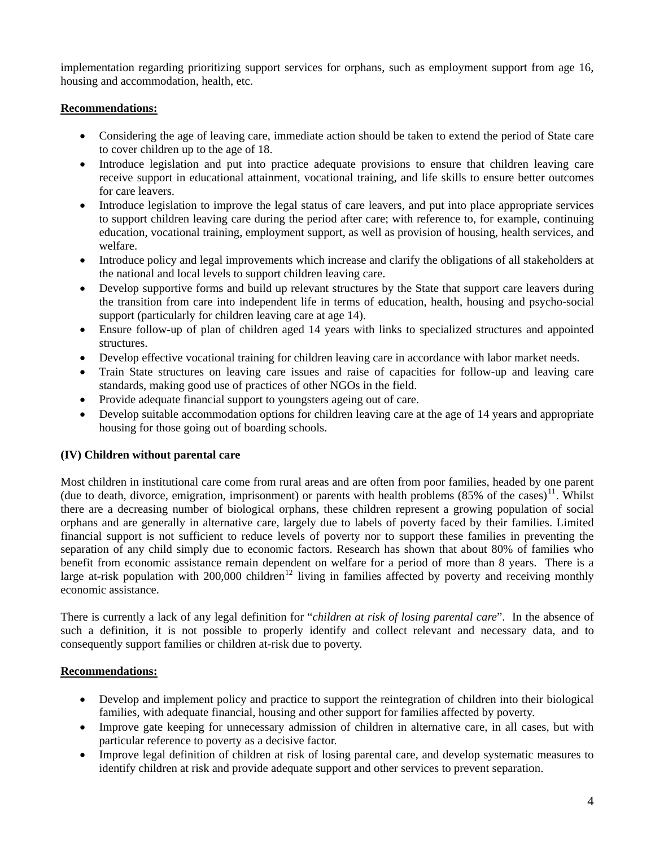implementation regarding prioritizing support services for orphans, such as employment support from age 16, housing and accommodation, health, etc.

### **Recommendations:**

- Considering the age of leaving care, immediate action should be taken to extend the period of State care to cover children up to the age of 18.
- Introduce legislation and put into practice adequate provisions to ensure that children leaving care receive support in educational attainment, vocational training, and life skills to ensure better outcomes for care leavers.
- Introduce legislation to improve the legal status of care leavers, and put into place appropriate services to support children leaving care during the period after care; with reference to, for example, continuing education, vocational training, employment support, as well as provision of housing, health services, and welfare.
- Introduce policy and legal improvements which increase and clarify the obligations of all stakeholders at the national and local levels to support children leaving care.
- Develop supportive forms and build up relevant structures by the State that support care leavers during the transition from care into independent life in terms of education, health, housing and psycho-social support (particularly for children leaving care at age 14).
- Ensure follow-up of plan of children aged 14 years with links to specialized structures and appointed structures.
- Develop effective vocational training for children leaving care in accordance with labor market needs.
- Train State structures on leaving care issues and raise of capacities for follow-up and leaving care standards, making good use of practices of other NGOs in the field.
- Provide adequate financial support to youngsters ageing out of care.
- Develop suitable accommodation options for children leaving care at the age of 14 years and appropriate housing for those going out of boarding schools.

# **(IV) Children without parental care**

Most children in institutional care come from rural areas and are often from poor families, headed by one parent (due to death, divorce, emigration, imprisonment) or parents with health problems  $(85\%$  of the cases)<sup>[11](#page-4-1)</sup>. Whilst there are a decreasing number of biological orphans, these children represent a growing population of social orphans and are generally in alternative care, largely due to labels of poverty faced by their families. Limited financial support is not sufficient to reduce levels of poverty nor to support these families in preventing the separation of any child simply due to economic factors. Research has shown that about 80% of families who benefit from economic assistance remain dependent on welfare for a period of more than 8 years. There is a large at-risk population with  $200,000$  children<sup>[12](#page-4-1)</sup> living in families affected by poverty and receiving monthly economic assistance.

There is currently a lack of any legal definition for "*children at risk of losing parental care*". In the absence of such a definition, it is not possible to properly identify and collect relevant and necessary data, and to consequently support families or children at-risk due to poverty.

#### **Recommendations:**

- Develop and implement policy and practice to support the reintegration of children into their biological families, with adequate financial, housing and other support for families affected by poverty.
- Improve gate keeping for unnecessary admission of children in alternative care, in all cases, but with particular reference to poverty as a decisive factor.
- Improve legal definition of children at risk of losing parental care, and develop systematic measures to identify children at risk and provide adequate support and other services to prevent separation.